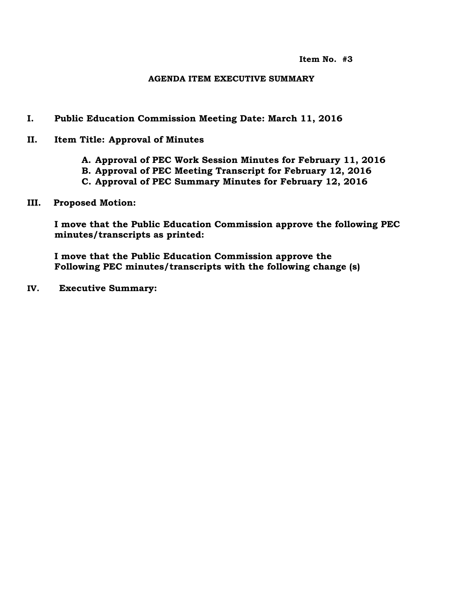#### **AGENDA ITEM EXECUTIVE SUMMARY**

#### **I. Public Education Commission Meeting Date: March 11, 2016**

- **II. Item Title: Approval of Minutes**
	- **A. Approval of PEC Work Session Minutes for February 11, 2016**
	- **B. Approval of PEC Meeting Transcript for February 12, 2016**
	- **C. Approval of PEC Summary Minutes for February 12, 2016**
- **III. Proposed Motion:**

**I move that the Public Education Commission approve the following PEC minutes/transcripts as printed:**

**I move that the Public Education Commission approve the Following PEC minutes/transcripts with the following change (s)**

**IV. Executive Summary:**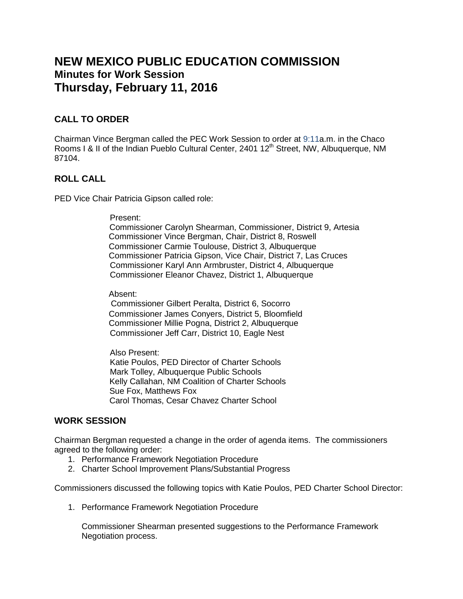# **NEW MEXICO PUBLIC EDUCATION COMMISSION Minutes for Work Session Thursday, February 11, 2016**

## **CALL TO ORDER**

Chairman Vince Bergman called the PEC Work Session to order at 9:11a.m. in the Chaco Rooms I & II of the Indian Pueblo Cultural Center, 2401 12<sup>th</sup> Street, NW, Albuquerque, NM 87104.

## **ROLL CALL**

PED Vice Chair Patricia Gipson called role:

#### Present:

 Commissioner Carolyn Shearman, Commissioner, District 9, Artesia Commissioner Vince Bergman, Chair, District 8, Roswell Commissioner Carmie Toulouse, District 3, Albuquerque Commissioner Patricia Gipson, Vice Chair, District 7, Las Cruces Commissioner Karyl Ann Armbruster, District 4, Albuquerque Commissioner Eleanor Chavez, District 1, Albuquerque

Absent:

 Commissioner Gilbert Peralta, District 6, Socorro Commissioner James Conyers, District 5, Bloomfield Commissioner Millie Pogna, District 2, Albuquerque Commissioner Jeff Carr, District 10, Eagle Nest

Also Present:

 Katie Poulos, PED Director of Charter Schools Mark Tolley, Albuquerque Public Schools Kelly Callahan, NM Coalition of Charter Schools Sue Fox, Matthews Fox Carol Thomas, Cesar Chavez Charter School

## **WORK SESSION**

Chairman Bergman requested a change in the order of agenda items. The commissioners agreed to the following order:

- 1. Performance Framework Negotiation Procedure
- 2. Charter School Improvement Plans/Substantial Progress

Commissioners discussed the following topics with Katie Poulos, PED Charter School Director:

1. Performance Framework Negotiation Procedure

Commissioner Shearman presented suggestions to the Performance Framework Negotiation process.